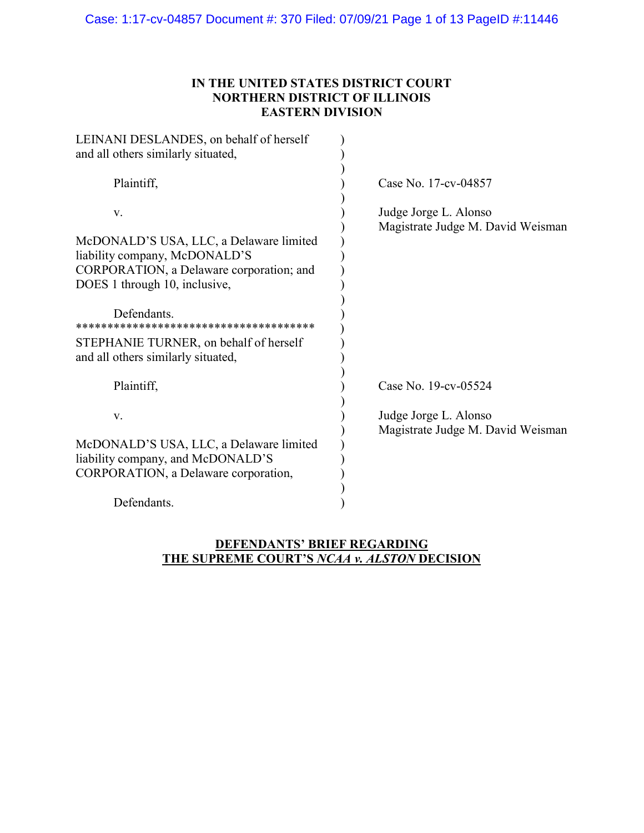# IN THE UNITED STATES DISTRICT COURT NORTHERN DISTRICT OF ILLINOIS EASTERN DIVISION

| LEINANI DESLANDES, on behalf of herself<br>and all others similarly situated,                                                                                                                                                                              |                                                            |
|------------------------------------------------------------------------------------------------------------------------------------------------------------------------------------------------------------------------------------------------------------|------------------------------------------------------------|
| Plaintiff,                                                                                                                                                                                                                                                 | Case No. 17-cv-04857                                       |
| V.<br>McDONALD'S USA, LLC, a Delaware limited<br>liability company, McDONALD'S<br>CORPORATION, a Delaware corporation; and<br>DOES 1 through 10, inclusive,<br>Defendants.<br>STEPHANIE TURNER, on behalf of herself<br>and all others similarly situated, | Judge Jorge L. Alonso<br>Magistrate Judge M. David Weisman |
| Plaintiff,                                                                                                                                                                                                                                                 | Case No. 19-cv-05524                                       |
| V.                                                                                                                                                                                                                                                         | Judge Jorge L. Alonso<br>Magistrate Judge M. David Weisman |
| McDONALD'S USA, LLC, a Delaware limited<br>liability company, and McDONALD'S<br>CORPORATION, a Delaware corporation,                                                                                                                                       |                                                            |
| Defendants.                                                                                                                                                                                                                                                |                                                            |

# DEFENDANTS' BRIEF REGARDING THE SUPREME COURT'S NCAA v. ALSTON DECISION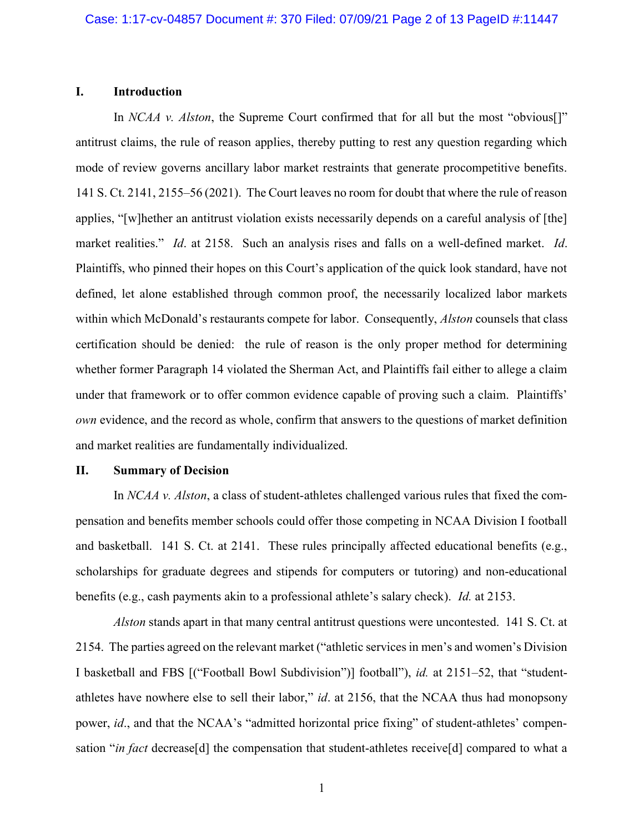#### I. Introduction

In NCAA v. Alston, the Supreme Court confirmed that for all but the most "obvious". antitrust claims, the rule of reason applies, thereby putting to rest any question regarding which mode of review governs ancillary labor market restraints that generate procompetitive benefits. 141 S. Ct. 2141, 2155–56 (2021). The Court leaves no room for doubt that where the rule of reason applies, "[w]hether an antitrust violation exists necessarily depends on a careful analysis of [the] market realities." Id. at 2158. Such an analysis rises and falls on a well-defined market. Id. Plaintiffs, who pinned their hopes on this Court's application of the quick look standard, have not defined, let alone established through common proof, the necessarily localized labor markets within which McDonald's restaurants compete for labor. Consequently, *Alston* counsels that class certification should be denied: the rule of reason is the only proper method for determining whether former Paragraph 14 violated the Sherman Act, and Plaintiffs fail either to allege a claim under that framework or to offer common evidence capable of proving such a claim. Plaintiffs' own evidence, and the record as whole, confirm that answers to the questions of market definition and market realities are fundamentally individualized.

#### II. Summary of Decision

In NCAA v. Alston, a class of student-athletes challenged various rules that fixed the compensation and benefits member schools could offer those competing in NCAA Division I football and basketball. 141 S. Ct. at 2141. These rules principally affected educational benefits (e.g., scholarships for graduate degrees and stipends for computers or tutoring) and non-educational benefits (e.g., cash payments akin to a professional athlete's salary check). Id. at 2153.

Alston stands apart in that many central antitrust questions were uncontested. 141 S. Ct. at 2154. The parties agreed on the relevant market ("athletic services in men's and women's Division I basketball and FBS [("Football Bowl Subdivision")] football"), id. at 2151–52, that "studentathletes have nowhere else to sell their labor," id. at 2156, that the NCAA thus had monopsony power, id., and that the NCAA's "admitted horizontal price fixing" of student-athletes' compensation "in fact decrease[d] the compensation that student-athletes receive[d] compared to what a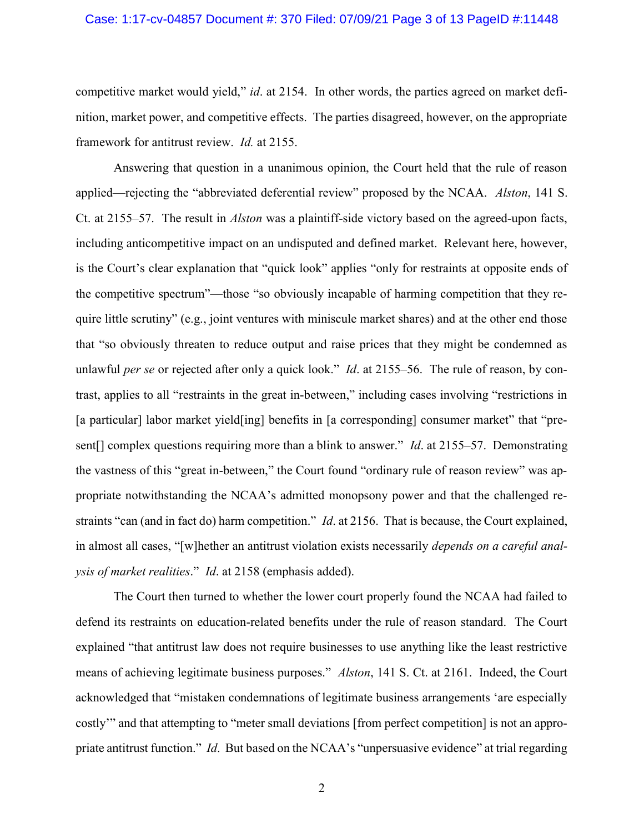#### Case: 1:17-cv-04857 Document #: 370 Filed: 07/09/21 Page 3 of 13 PageID #:11448

competitive market would yield," id. at 2154. In other words, the parties agreed on market definition, market power, and competitive effects. The parties disagreed, however, on the appropriate framework for antitrust review. Id. at 2155.

Answering that question in a unanimous opinion, the Court held that the rule of reason applied—rejecting the "abbreviated deferential review" proposed by the NCAA. Alston, 141 S. Ct. at 2155–57. The result in Alston was a plaintiff-side victory based on the agreed-upon facts, including anticompetitive impact on an undisputed and defined market. Relevant here, however, is the Court's clear explanation that "quick look" applies "only for restraints at opposite ends of the competitive spectrum"—those "so obviously incapable of harming competition that they require little scrutiny" (e.g., joint ventures with miniscule market shares) and at the other end those that "so obviously threaten to reduce output and raise prices that they might be condemned as unlawful per se or rejected after only a quick look." *Id.* at 2155–56. The rule of reason, by contrast, applies to all "restraints in the great in-between," including cases involving "restrictions in [a particular] labor market yield[ing] benefits in [a corresponding] consumer market" that "present<sup>[]</sup> complex questions requiring more than a blink to answer." *Id.* at 2155–57. Demonstrating the vastness of this "great in-between," the Court found "ordinary rule of reason review" was appropriate notwithstanding the NCAA's admitted monopsony power and that the challenged restraints "can (and in fact do) harm competition." *Id.* at 2156. That is because, the Court explained, in almost all cases, "[w]hether an antitrust violation exists necessarily *depends on a careful anal*ysis of market realities." Id. at 2158 (emphasis added).

The Court then turned to whether the lower court properly found the NCAA had failed to defend its restraints on education-related benefits under the rule of reason standard. The Court explained "that antitrust law does not require businesses to use anything like the least restrictive means of achieving legitimate business purposes." Alston, 141 S. Ct. at 2161. Indeed, the Court acknowledged that "mistaken condemnations of legitimate business arrangements 'are especially costly'" and that attempting to "meter small deviations [from perfect competition] is not an appropriate antitrust function." Id. But based on the NCAA's "unpersuasive evidence" at trial regarding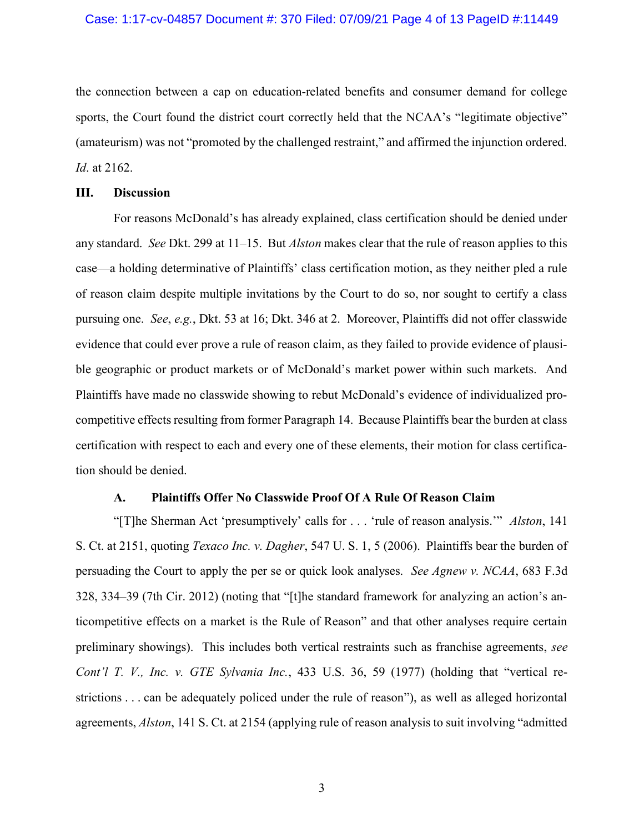the connection between a cap on education-related benefits and consumer demand for college sports, the Court found the district court correctly held that the NCAA's "legitimate objective" (amateurism) was not "promoted by the challenged restraint," and affirmed the injunction ordered. Id. at 2162.

#### III. Discussion

For reasons McDonald's has already explained, class certification should be denied under any standard. See Dkt. 299 at 11–15. But *Alston* makes clear that the rule of reason applies to this case—a holding determinative of Plaintiffs' class certification motion, as they neither pled a rule of reason claim despite multiple invitations by the Court to do so, nor sought to certify a class pursuing one. See, e.g., Dkt. 53 at 16; Dkt. 346 at 2. Moreover, Plaintiffs did not offer classwide evidence that could ever prove a rule of reason claim, as they failed to provide evidence of plausible geographic or product markets or of McDonald's market power within such markets. And Plaintiffs have made no classwide showing to rebut McDonald's evidence of individualized procompetitive effects resulting from former Paragraph 14. Because Plaintiffs bear the burden at class certification with respect to each and every one of these elements, their motion for class certification should be denied.

### A. Plaintiffs Offer No Classwide Proof Of A Rule Of Reason Claim

"[T]he Sherman Act 'presumptively' calls for . . . 'rule of reason analysis.'" Alston, 141 S. Ct. at 2151, quoting Texaco Inc. v. Dagher, 547 U. S. 1, 5 (2006). Plaintiffs bear the burden of persuading the Court to apply the per se or quick look analyses. See Agnew v. NCAA, 683 F.3d 328, 334–39 (7th Cir. 2012) (noting that "[t]he standard framework for analyzing an action's anticompetitive effects on a market is the Rule of Reason" and that other analyses require certain preliminary showings). This includes both vertical restraints such as franchise agreements, see Cont'l T. V., Inc. v. GTE Sylvania Inc., 433 U.S. 36, 59 (1977) (holding that "vertical restrictions . . . can be adequately policed under the rule of reason"), as well as alleged horizontal agreements, Alston, 141 S. Ct. at 2154 (applying rule of reason analysis to suit involving "admitted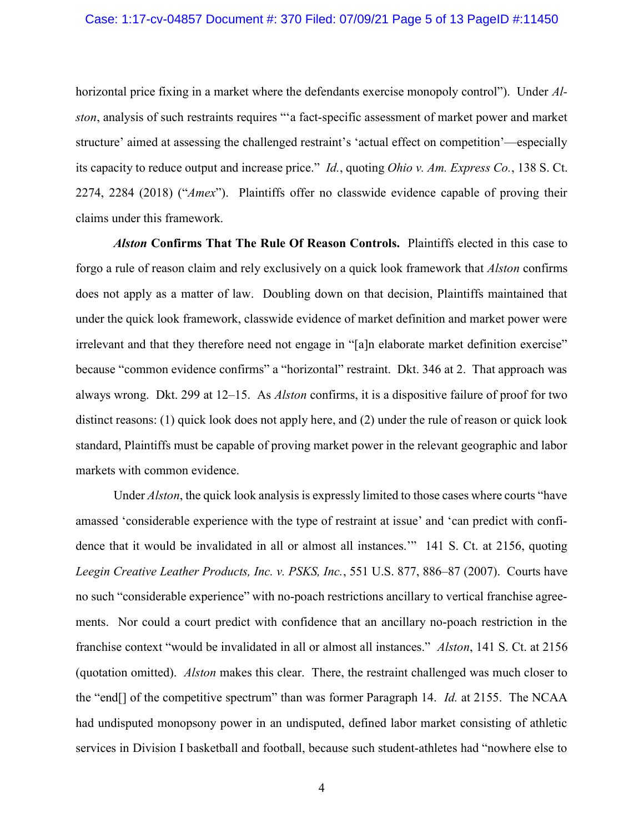horizontal price fixing in a market where the defendants exercise monopoly control"). Under Alston, analysis of such restraints requires "'a fact-specific assessment of market power and market structure' aimed at assessing the challenged restraint's 'actual effect on competition'—especially its capacity to reduce output and increase price." Id., quoting Ohio v. Am. Express Co., 138 S. Ct. 2274, 2284 (2018) ("Amex"). Plaintiffs offer no classwide evidence capable of proving their claims under this framework.

Alston Confirms That The Rule Of Reason Controls. Plaintiffs elected in this case to forgo a rule of reason claim and rely exclusively on a quick look framework that Alston confirms does not apply as a matter of law. Doubling down on that decision, Plaintiffs maintained that under the quick look framework, classwide evidence of market definition and market power were irrelevant and that they therefore need not engage in "[a]n elaborate market definition exercise" because "common evidence confirms" a "horizontal" restraint. Dkt. 346 at 2. That approach was always wrong. Dkt. 299 at 12–15. As Alston confirms, it is a dispositive failure of proof for two distinct reasons: (1) quick look does not apply here, and (2) under the rule of reason or quick look standard, Plaintiffs must be capable of proving market power in the relevant geographic and labor markets with common evidence.

Under *Alston*, the quick look analysis is expressly limited to those cases where courts "have amassed 'considerable experience with the type of restraint at issue' and 'can predict with confidence that it would be invalidated in all or almost all instances.'" 141 S. Ct. at 2156, quoting Leegin Creative Leather Products, Inc. v. PSKS, Inc., 551 U.S. 877, 886–87 (2007). Courts have no such "considerable experience" with no-poach restrictions ancillary to vertical franchise agreements. Nor could a court predict with confidence that an ancillary no-poach restriction in the franchise context "would be invalidated in all or almost all instances." Alston, 141 S. Ct. at 2156 (quotation omitted). Alston makes this clear. There, the restraint challenged was much closer to the "end<sup>[]</sup> of the competitive spectrum" than was former Paragraph 14. *Id.* at 2155. The NCAA had undisputed monopsony power in an undisputed, defined labor market consisting of athletic services in Division I basketball and football, because such student-athletes had "nowhere else to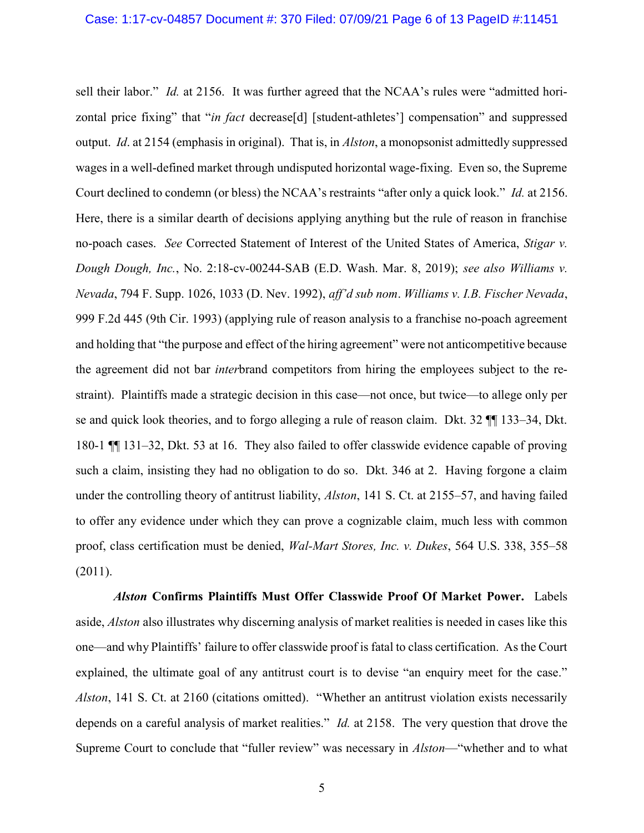sell their labor." Id. at 2156. It was further agreed that the NCAA's rules were "admitted horizontal price fixing" that "in fact decrease[d] [student-athletes'] compensation" and suppressed output. Id. at 2154 (emphasis in original). That is, in Alston, a monopsonist admittedly suppressed wages in a well-defined market through undisputed horizontal wage-fixing. Even so, the Supreme Court declined to condemn (or bless) the NCAA's restraints "after only a quick look." Id. at 2156. Here, there is a similar dearth of decisions applying anything but the rule of reason in franchise no-poach cases. See Corrected Statement of Interest of the United States of America, Stigar v. Dough Dough, Inc., No. 2:18-cv-00244-SAB (E.D. Wash. Mar. 8, 2019); see also Williams v. Nevada, 794 F. Supp. 1026, 1033 (D. Nev. 1992), aff'd sub nom. Williams v. I.B. Fischer Nevada, 999 F.2d 445 (9th Cir. 1993) (applying rule of reason analysis to a franchise no-poach agreement and holding that "the purpose and effect of the hiring agreement" were not anticompetitive because the agreement did not bar interbrand competitors from hiring the employees subject to the restraint). Plaintiffs made a strategic decision in this case—not once, but twice—to allege only per se and quick look theories, and to forgo alleging a rule of reason claim. Dkt. 32 ¶¶ 133–34, Dkt. 180-1 ¶¶ 131–32, Dkt. 53 at 16. They also failed to offer classwide evidence capable of proving such a claim, insisting they had no obligation to do so. Dkt. 346 at 2. Having forgone a claim under the controlling theory of antitrust liability, *Alston*, 141 S. Ct. at 2155–57, and having failed to offer any evidence under which they can prove a cognizable claim, much less with common proof, class certification must be denied, Wal-Mart Stores, Inc. v. Dukes, 564 U.S. 338, 355–58 (2011).

Alston Confirms Plaintiffs Must Offer Classwide Proof Of Market Power. Labels aside, Alston also illustrates why discerning analysis of market realities is needed in cases like this one—and why Plaintiffs' failure to offer classwide proof is fatal to class certification. As the Court explained, the ultimate goal of any antitrust court is to devise "an enquiry meet for the case." Alston, 141 S. Ct. at 2160 (citations omitted). "Whether an antitrust violation exists necessarily depends on a careful analysis of market realities." *Id.* at 2158. The very question that drove the Supreme Court to conclude that "fuller review" was necessary in Alston—"whether and to what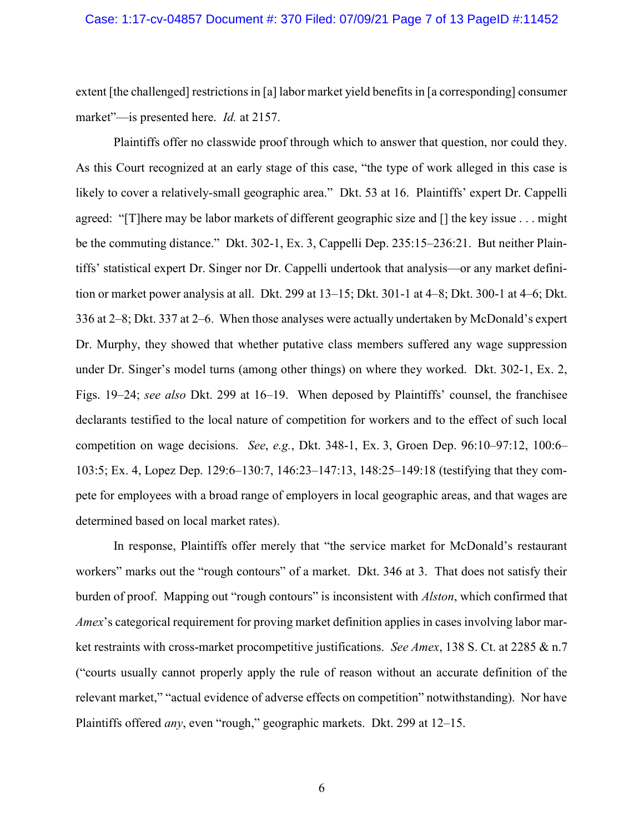extent [the challenged] restrictions in [a] labor market yield benefits in [a corresponding] consumer market"—is presented here. *Id.* at 2157.

Plaintiffs offer no classwide proof through which to answer that question, nor could they. As this Court recognized at an early stage of this case, "the type of work alleged in this case is likely to cover a relatively-small geographic area." Dkt. 53 at 16. Plaintiffs' expert Dr. Cappelli agreed: "[T]here may be labor markets of different geographic size and [] the key issue . . . might be the commuting distance." Dkt. 302-1, Ex. 3, Cappelli Dep. 235:15–236:21. But neither Plaintiffs' statistical expert Dr. Singer nor Dr. Cappelli undertook that analysis—or any market definition or market power analysis at all. Dkt. 299 at 13–15; Dkt. 301-1 at 4–8; Dkt. 300-1 at 4–6; Dkt. 336 at 2–8; Dkt. 337 at 2–6. When those analyses were actually undertaken by McDonald's expert Dr. Murphy, they showed that whether putative class members suffered any wage suppression under Dr. Singer's model turns (among other things) on where they worked. Dkt. 302-1, Ex. 2, Figs. 19–24; see also Dkt. 299 at 16–19. When deposed by Plaintiffs' counsel, the franchisee declarants testified to the local nature of competition for workers and to the effect of such local competition on wage decisions. See, e.g., Dkt. 348-1, Ex. 3, Groen Dep. 96:10–97:12, 100:6– 103:5; Ex. 4, Lopez Dep. 129:6–130:7, 146:23–147:13, 148:25–149:18 (testifying that they compete for employees with a broad range of employers in local geographic areas, and that wages are determined based on local market rates).

In response, Plaintiffs offer merely that "the service market for McDonald's restaurant workers" marks out the "rough contours" of a market. Dkt. 346 at 3. That does not satisfy their burden of proof. Mapping out "rough contours" is inconsistent with *Alston*, which confirmed that Amex's categorical requirement for proving market definition applies in cases involving labor market restraints with cross-market procompetitive justifications. See Amex, 138 S. Ct. at 2285 & n.7 ("courts usually cannot properly apply the rule of reason without an accurate definition of the relevant market," "actual evidence of adverse effects on competition" notwithstanding). Nor have Plaintiffs offered any, even "rough," geographic markets. Dkt. 299 at 12–15.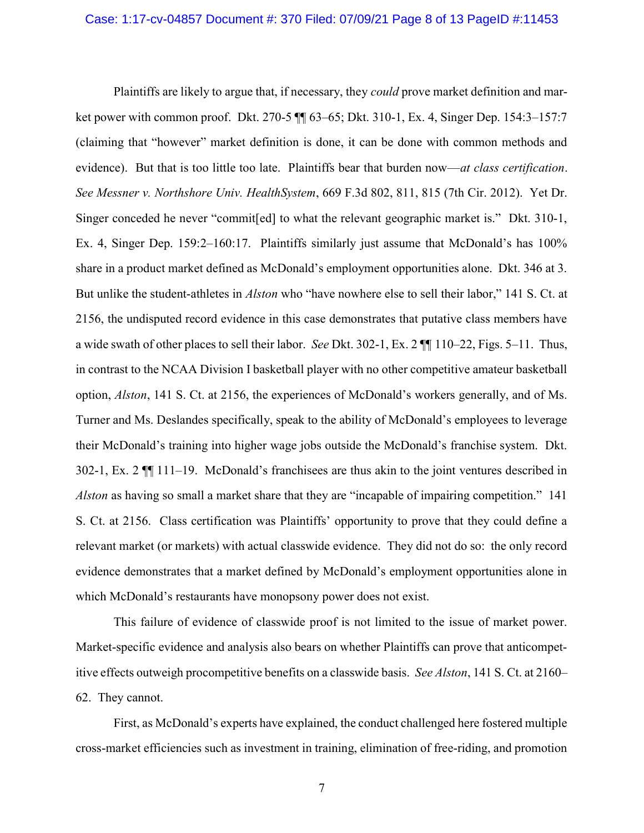Plaintiffs are likely to argue that, if necessary, they *could* prove market definition and market power with common proof. Dkt. 270-5 ¶¶ 63–65; Dkt. 310-1, Ex. 4, Singer Dep. 154:3–157:7 (claiming that "however" market definition is done, it can be done with common methods and evidence). But that is too little too late. Plaintiffs bear that burden now—at class certification. See Messner v. Northshore Univ. HealthSystem, 669 F.3d 802, 811, 815 (7th Cir. 2012). Yet Dr. Singer conceded he never "commit[ed] to what the relevant geographic market is." Dkt. 310-1, Ex. 4, Singer Dep. 159:2–160:17. Plaintiffs similarly just assume that McDonald's has 100% share in a product market defined as McDonald's employment opportunities alone. Dkt. 346 at 3. But unlike the student-athletes in *Alston* who "have nowhere else to sell their labor," 141 S. Ct. at 2156, the undisputed record evidence in this case demonstrates that putative class members have a wide swath of other places to sell their labor. See Dkt. 302-1, Ex. 2 ¶¶ 110–22, Figs. 5–11. Thus, in contrast to the NCAA Division I basketball player with no other competitive amateur basketball option, Alston, 141 S. Ct. at 2156, the experiences of McDonald's workers generally, and of Ms. Turner and Ms. Deslandes specifically, speak to the ability of McDonald's employees to leverage their McDonald's training into higher wage jobs outside the McDonald's franchise system. Dkt. 302-1, Ex. 2 ¶¶ 111–19. McDonald's franchisees are thus akin to the joint ventures described in Alston as having so small a market share that they are "incapable of impairing competition." 141 S. Ct. at 2156. Class certification was Plaintiffs' opportunity to prove that they could define a relevant market (or markets) with actual classwide evidence. They did not do so: the only record evidence demonstrates that a market defined by McDonald's employment opportunities alone in which McDonald's restaurants have monopsony power does not exist.

This failure of evidence of classwide proof is not limited to the issue of market power. Market-specific evidence and analysis also bears on whether Plaintiffs can prove that anticompetitive effects outweigh procompetitive benefits on a classwide basis. See Alston, 141 S. Ct. at 2160– 62. They cannot.

First, as McDonald's experts have explained, the conduct challenged here fostered multiple cross-market efficiencies such as investment in training, elimination of free-riding, and promotion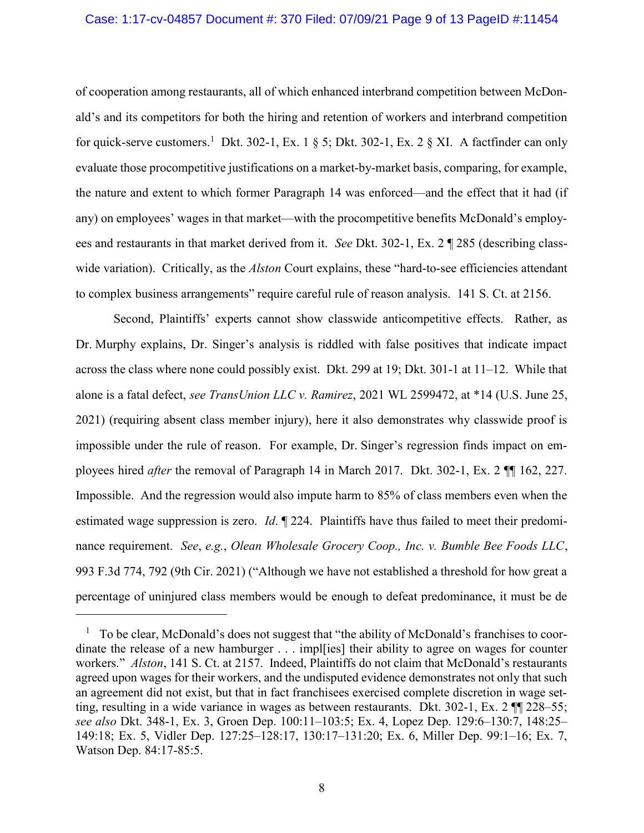#### Case: 1:17-cv-04857 Document #: 370 Filed: 07/09/21 Page 9 of 13 PageID #:11454

of cooperation among restaurants, all of which enhanced interbrand competition between McDonald's and its competitors for both the hiring and retention of workers and interbrand competition for quick-serve customers.<sup>1</sup> Dkt. 302-1, Ex. 1 § 5; Dkt. 302-1, Ex. 2 § XI. A factfinder can only evaluate those procompetitive justifications on a market-by-market basis, comparing, for example, the nature and extent to which former Paragraph 14 was enforced—and the effect that it had (if any) on employees' wages in that market—with the procompetitive benefits McDonald's employees and restaurants in that market derived from it. See Dkt. 302-1, Ex. 2 ¶ 285 (describing classwide variation). Critically, as the *Alston* Court explains, these "hard-to-see efficiencies attendant to complex business arrangements" require careful rule of reason analysis. 141 S. Ct. at 2156.

Second, Plaintiffs' experts cannot show classwide anticompetitive effects. Rather, as Dr. Murphy explains, Dr. Singer's analysis is riddled with false positives that indicate impact across the class where none could possibly exist. Dkt. 299 at 19; Dkt. 301-1 at 11–12. While that alone is a fatal defect, see TransUnion LLC v. Ramirez, 2021 WL 2599472, at \*14 (U.S. June 25, 2021) (requiring absent class member injury), here it also demonstrates why classwide proof is impossible under the rule of reason. For example, Dr. Singer's regression finds impact on employees hired after the removal of Paragraph 14 in March 2017. Dkt. 302-1, Ex. 2 ¶¶ 162, 227. Impossible. And the regression would also impute harm to 85% of class members even when the estimated wage suppression is zero. *Id.*  $\P$  224. Plaintiffs have thus failed to meet their predominance requirement. See, e.g., Olean Wholesale Grocery Coop., Inc. v. Bumble Bee Foods LLC, 993 F.3d 774, 792 (9th Cir. 2021) ("Although we have not established a threshold for how great a percentage of uninjured class members would be enough to defeat predominance, it must be de

 $\overline{a}$ 

 $1$  To be clear, McDonald's does not suggest that "the ability of McDonald's franchises to coordinate the release of a new hamburger . . . impl[ies] their ability to agree on wages for counter workers." Alston, 141 S. Ct. at 2157. Indeed, Plaintiffs do not claim that McDonald's restaurants agreed upon wages for their workers, and the undisputed evidence demonstrates not only that such an agreement did not exist, but that in fact franchisees exercised complete discretion in wage setting, resulting in a wide variance in wages as between restaurants. Dkt. 302-1, Ex. 2 ¶¶ 228–55; see also Dkt. 348-1, Ex. 3, Groen Dep. 100:11–103:5; Ex. 4, Lopez Dep. 129:6–130:7, 148:25– 149:18; Ex. 5, Vidler Dep. 127:25–128:17, 130:17–131:20; Ex. 6, Miller Dep. 99:1–16; Ex. 7, Watson Dep. 84:17-85:5.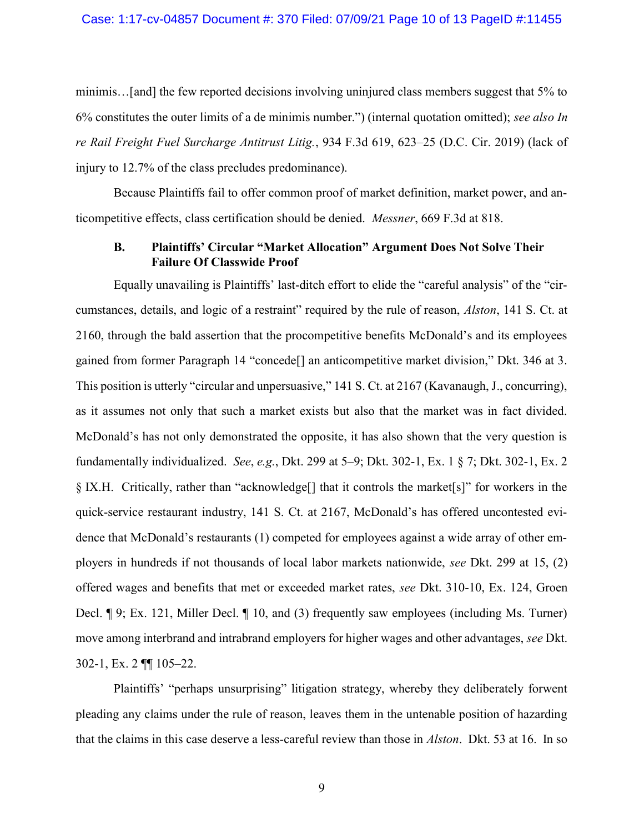minimis…[and] the few reported decisions involving uninjured class members suggest that 5% to 6% constitutes the outer limits of a de minimis number.") (internal quotation omitted); see also In re Rail Freight Fuel Surcharge Antitrust Litig., 934 F.3d 619, 623–25 (D.C. Cir. 2019) (lack of injury to 12.7% of the class precludes predominance).

Because Plaintiffs fail to offer common proof of market definition, market power, and anticompetitive effects, class certification should be denied. Messner, 669 F.3d at 818.

### B. Plaintiffs' Circular "Market Allocation" Argument Does Not Solve Their Failure Of Classwide Proof

Equally unavailing is Plaintiffs' last-ditch effort to elide the "careful analysis" of the "circumstances, details, and logic of a restraint" required by the rule of reason, Alston, 141 S. Ct. at 2160, through the bald assertion that the procompetitive benefits McDonald's and its employees gained from former Paragraph 14 "concede[] an anticompetitive market division," Dkt. 346 at 3. This position is utterly "circular and unpersuasive," 141 S. Ct. at 2167 (Kavanaugh, J., concurring), as it assumes not only that such a market exists but also that the market was in fact divided. McDonald's has not only demonstrated the opposite, it has also shown that the very question is fundamentally individualized. See, e.g., Dkt. 299 at 5–9; Dkt. 302-1, Ex. 1 § 7; Dkt. 302-1, Ex. 2 § IX.H. Critically, rather than "acknowledge[] that it controls the market[s]" for workers in the quick-service restaurant industry, 141 S. Ct. at 2167, McDonald's has offered uncontested evidence that McDonald's restaurants (1) competed for employees against a wide array of other employers in hundreds if not thousands of local labor markets nationwide, see Dkt. 299 at 15, (2) offered wages and benefits that met or exceeded market rates, see Dkt. 310-10, Ex. 124, Groen Decl. ¶ 9; Ex. 121, Miller Decl. ¶ 10, and (3) frequently saw employees (including Ms. Turner) move among interbrand and intrabrand employers for higher wages and other advantages, see Dkt. 302-1, Ex. 2 ¶¶ 105–22.

Plaintiffs' "perhaps unsurprising" litigation strategy, whereby they deliberately forwent pleading any claims under the rule of reason, leaves them in the untenable position of hazarding that the claims in this case deserve a less-careful review than those in Alston. Dkt. 53 at 16. In so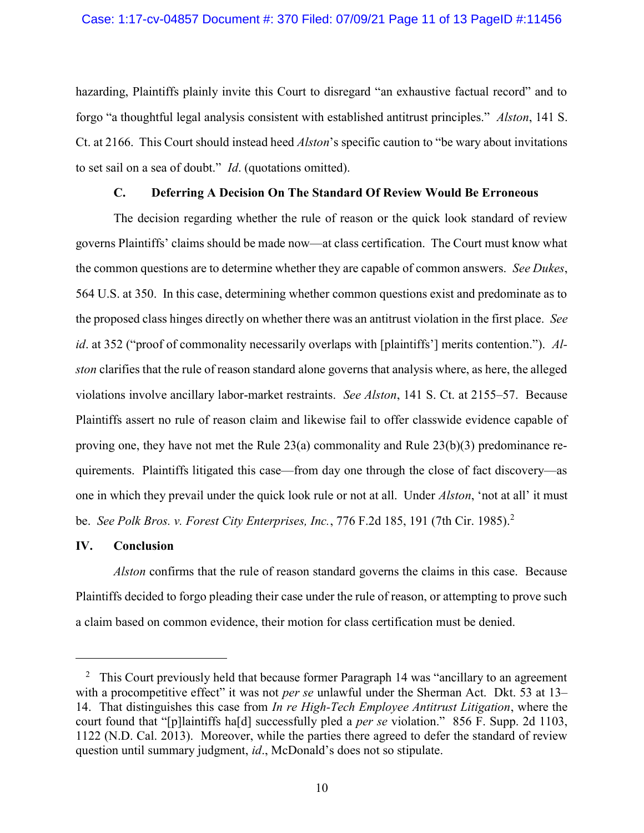hazarding, Plaintiffs plainly invite this Court to disregard "an exhaustive factual record" and to forgo "a thoughtful legal analysis consistent with established antitrust principles." Alston, 141 S. Ct. at 2166. This Court should instead heed Alston's specific caution to "be wary about invitations to set sail on a sea of doubt." Id. (quotations omitted).

#### C. Deferring A Decision On The Standard Of Review Would Be Erroneous

The decision regarding whether the rule of reason or the quick look standard of review governs Plaintiffs' claims should be made now—at class certification. The Court must know what the common questions are to determine whether they are capable of common answers. See Dukes, 564 U.S. at 350. In this case, determining whether common questions exist and predominate as to the proposed class hinges directly on whether there was an antitrust violation in the first place. See id. at 352 ("proof of commonality necessarily overlaps with [plaintiffs'] merits contention."). Alston clarifies that the rule of reason standard alone governs that analysis where, as here, the alleged violations involve ancillary labor-market restraints. See Alston, 141 S. Ct. at 2155–57. Because Plaintiffs assert no rule of reason claim and likewise fail to offer classwide evidence capable of proving one, they have not met the Rule 23(a) commonality and Rule 23(b)(3) predominance requirements. Plaintiffs litigated this case—from day one through the close of fact discovery—as one in which they prevail under the quick look rule or not at all. Under Alston, 'not at all' it must be. See Polk Bros. v. Forest City Enterprises, Inc., 776 F.2d 185, 191 (7th Cir. 1985).<sup>2</sup>

#### IV. Conclusion

 $\overline{a}$ 

Alston confirms that the rule of reason standard governs the claims in this case. Because Plaintiffs decided to forgo pleading their case under the rule of reason, or attempting to prove such a claim based on common evidence, their motion for class certification must be denied.

<sup>&</sup>lt;sup>2</sup> This Court previously held that because former Paragraph 14 was "ancillary to an agreement with a procompetitive effect" it was not *per se* unlawful under the Sherman Act. Dkt. 53 at 13– 14. That distinguishes this case from *In re High-Tech Employee Antitrust Litigation*, where the court found that "[p]laintiffs ha[d] successfully pled a per se violation." 856 F. Supp. 2d 1103, 1122 (N.D. Cal. 2013). Moreover, while the parties there agreed to defer the standard of review question until summary judgment, id., McDonald's does not so stipulate.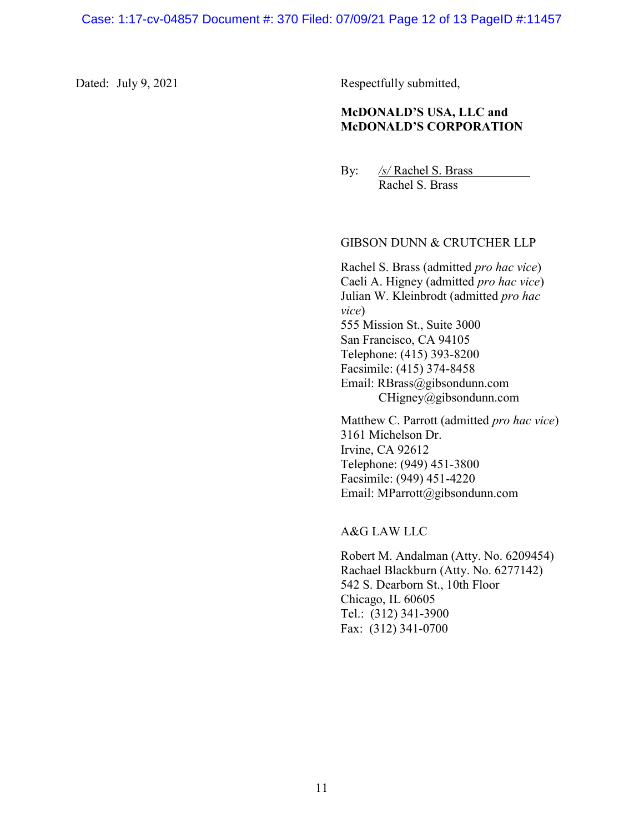Dated: July 9, 2021 Respectfully submitted,

## McDONALD'S USA, LLC and McDONALD'S CORPORATION

By: /s/ Rachel S. Brass Rachel S. Brass

### GIBSON DUNN & CRUTCHER LLP

Rachel S. Brass (admitted pro hac vice) Caeli A. Higney (admitted pro hac vice) Julian W. Kleinbrodt (admitted pro hac vice) 555 Mission St., Suite 3000 San Francisco, CA 94105 Telephone: (415) 393-8200 Facsimile: (415) 374-8458 Email: RBrass@gibsondunn.com CHigney@gibsondunn.com

Matthew C. Parrott (admitted *pro hac vice*) 3161 Michelson Dr. Irvine, CA 92612 Telephone: (949) 451-3800 Facsimile: (949) 451-4220 Email: MParrott@gibsondunn.com

A&G LAW LLC

Robert M. Andalman (Atty. No. 6209454) Rachael Blackburn (Atty. No. 6277142) 542 S. Dearborn St., 10th Floor Chicago, IL 60605 Tel.: (312) 341-3900 Fax: (312) 341-0700